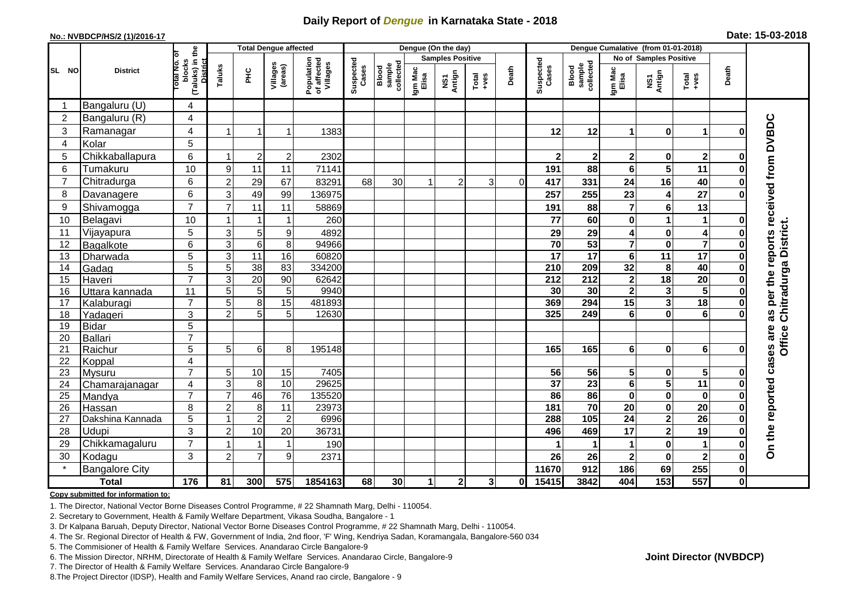## **Daily Report of** *Dengue* **in Karnataka State - 2018**

#### **No.: NVBDCP/HS/2 (1)/2016-17**

| Date: 15-03-2018 |  |  |  |  |
|------------------|--|--|--|--|
|------------------|--|--|--|--|

|                | <b>Total Dengue affected</b> |                                                       |                                  |                 |                     |                                       |                    |                              |                  | Dengue (On the day)     |                                                              |          | Dengue Cumalative (from 01-01-2018) |                                     |                         |                         |                         |              |                                     |
|----------------|------------------------------|-------------------------------------------------------|----------------------------------|-----------------|---------------------|---------------------------------------|--------------------|------------------------------|------------------|-------------------------|--------------------------------------------------------------|----------|-------------------------------------|-------------------------------------|-------------------------|-------------------------|-------------------------|--------------|-------------------------------------|
|                |                              |                                                       |                                  |                 |                     |                                       |                    |                              |                  | <b>Samples Positive</b> |                                                              |          | <b>No of Samples Positive</b>       |                                     |                         |                         |                         |              |                                     |
| SL NO          | <b>District</b>              | (Taluks) in the<br>District<br>rotal No. of<br>blocks | Taluks                           | ΞÉ              | Villages<br>(areas) | Population<br>of affected<br>Villages | Suspected<br>Cases | Blood<br>sample<br>collected | Igm Mac<br>Elisa | NS1<br>Antign           | $\begin{array}{c}\n\text{Total} \\ \text{Area}\n\end{array}$ | Death    | Suspected<br>Cases                  | collected<br><b>Blood</b><br>sample | Igm Mac<br>Elisa        | NS1<br>Antign           | $Total$                 | Death        |                                     |
|                | Bangaluru (U)                | 4                                                     |                                  |                 |                     |                                       |                    |                              |                  |                         |                                                              |          |                                     |                                     |                         |                         |                         |              |                                     |
| $\overline{2}$ | Bangaluru (R)                | $\overline{4}$                                        |                                  |                 |                     |                                       |                    |                              |                  |                         |                                                              |          |                                     |                                     |                         |                         |                         |              |                                     |
| 3              | Ramanagar                    | 4                                                     |                                  |                 | 1                   | 1383                                  |                    |                              |                  |                         |                                                              |          | 12                                  | 12                                  | $\blacktriangleleft$    | $\bf{0}$                | 1                       | Ω            | per the reports received from DVBDC |
| 4              | Kolar                        | 5                                                     |                                  |                 |                     |                                       |                    |                              |                  |                         |                                                              |          |                                     |                                     |                         |                         |                         |              |                                     |
| 5              | Chikkaballapura              | 6                                                     | -1                               | $\overline{2}$  | $\overline{c}$      | 2302                                  |                    |                              |                  |                         |                                                              |          | $\mathbf{2}$                        | $\mathbf 2$                         | $\overline{\mathbf{2}}$ | 0                       | $\overline{\mathbf{2}}$ | 0            |                                     |
| 6              | Tumakuru                     | 10                                                    | 9                                | 11              | 11                  | 71141                                 |                    |                              |                  |                         |                                                              |          | 191                                 | 88                                  | 6                       | $\overline{\mathbf{5}}$ | 11                      | Ω            |                                     |
| $\overline{7}$ | Chitradurga                  | 6                                                     | $\overline{2}$                   | 29              | 67                  | 83291                                 | 68                 | 30                           |                  | $\overline{c}$          | 3                                                            | $\Omega$ | 417                                 | 331                                 | 24                      | 16                      | 40                      |              |                                     |
| 8              | Davanagere                   | 6                                                     | 3                                | 49              | 99                  | 136975                                |                    |                              |                  |                         |                                                              |          | 257                                 | 255                                 | 23                      | 4                       | $\overline{27}$         | Ω            |                                     |
| 9              | Shivamogga                   | $\overline{7}$                                        | $\overline{7}$                   | 11              | 11                  | 58869                                 |                    |                              |                  |                         |                                                              |          | 191                                 | 88                                  | 7                       | $6\phantom{1}$          | 13                      |              |                                     |
| 10             | Belagavi                     | 10                                                    |                                  | -1              | 1                   | 260                                   |                    |                              |                  |                         |                                                              |          | 77                                  | 60                                  | 0                       | 1                       | $\mathbf{1}$            | Ω            |                                     |
| 11             | Vijayapura                   | 5                                                     | 3                                | 5               | 9                   | 4892                                  |                    |                              |                  |                         |                                                              |          | 29                                  | 29                                  | 4                       | $\pmb{0}$               | $\overline{\mathbf{4}}$ |              | Chitradurga District.               |
| 12             | Bagalkote                    | 6                                                     | $\overline{3}$                   | $\overline{6}$  | 8                   | 94966                                 |                    |                              |                  |                         |                                                              |          | $\overline{70}$                     | 53                                  | $\overline{\mathbf{7}}$ | $\pmb{0}$               | $\overline{\mathbf{7}}$ | 0            |                                     |
| 13             | Dharwada                     | 5                                                     | 3                                | $\overline{11}$ | 16                  | 60820                                 |                    |                              |                  |                         |                                                              |          | 17                                  | 17                                  | 6                       | $\overline{11}$         | 17                      | O            |                                     |
| 14             | Gadag                        | 5                                                     | 5                                | 38              | 83                  | 334200                                |                    |                              |                  |                         |                                                              |          | 210                                 | 209                                 | 32                      | 8                       | 40                      | Ω            |                                     |
| 15             | Haveri                       | $\overline{7}$                                        | 3                                | $\overline{20}$ | 90                  | 62642                                 |                    |                              |                  |                         |                                                              |          | 212                                 | 212                                 | $\mathbf 2$             | $\overline{18}$         | $\overline{20}$         | Ω            |                                     |
| 16             | Uttara kannada               | 11                                                    | 5                                | 5               | 5                   | 9940                                  |                    |                              |                  |                         |                                                              |          | 30                                  | 30                                  | $\mathbf{2}$            | 3                       | $\overline{\mathbf{5}}$ |              |                                     |
| 17             | Kalaburagi                   | $\overline{7}$                                        | 5                                | 8               | 15                  | 481893                                |                    |                              |                  |                         |                                                              |          | 369                                 | 294                                 | 15                      | $\mathbf{3}$            | 18                      | O            |                                     |
| 18             | Yadageri                     | 3                                                     | $\overline{2}$                   | $\overline{5}$  | 5                   | 12630                                 |                    |                              |                  |                         |                                                              |          | 325                                 | 249                                 | 6                       | $\mathbf 0$             | $\overline{6}$          |              | 8g                                  |
| 19             | Bidar                        | 5                                                     |                                  |                 |                     |                                       |                    |                              |                  |                         |                                                              |          |                                     |                                     |                         |                         |                         |              |                                     |
| 20             | Ballari                      | $\overline{7}$                                        |                                  |                 |                     |                                       |                    |                              |                  |                         |                                                              |          |                                     |                                     |                         |                         |                         |              | Office                              |
| 21             | Raichur                      | 5                                                     | 5                                | 6               | 8                   | 195148                                |                    |                              |                  |                         |                                                              |          | 165                                 | 165                                 | 6                       | $\mathbf 0$             | 6                       | 0            |                                     |
| 22             | Koppal                       | 4                                                     |                                  |                 |                     |                                       |                    |                              |                  |                         |                                                              |          |                                     |                                     |                         |                         |                         |              | cases are                           |
| 23             | Mysuru                       | $\overline{7}$                                        | 5                                | 10              | 15                  | 7405                                  |                    |                              |                  |                         |                                                              |          | 56                                  | 56                                  | 5                       | 0                       | $\overline{\mathbf{5}}$ |              |                                     |
| 24             | Chamarajanagar               | 4                                                     | 3                                | 8               | 10                  | 29625                                 |                    |                              |                  |                         |                                                              |          | $\overline{37}$                     | $\overline{23}$                     | 6                       | $\overline{\mathbf{5}}$ | 11                      | O            |                                     |
| 25             | Mandya                       | $\overline{7}$                                        | $\overline{7}$                   | 46              | $\overline{76}$     | 135520                                |                    |                              |                  |                         |                                                              |          | 86                                  | 86                                  | $\mathbf 0$             | $\mathbf 0$             | $\pmb{0}$               | $\bf{0}$     |                                     |
| 26             | Hassan                       | 8                                                     | $\overline{2}$<br>$\overline{1}$ | 8               | 11                  | 23973                                 |                    |                              |                  |                         |                                                              |          | 181                                 | $\overline{70}$<br>105              | 20                      | $\mathbf 0$             | $\overline{20}$         | 0            |                                     |
| 27             | Dakshina Kannada             | 5                                                     |                                  | $\overline{2}$  | $\overline{2}$      | 6996                                  |                    |                              |                  |                         |                                                              |          | 288                                 |                                     | $\overline{24}$         | $\overline{\mathbf{2}}$ | $\overline{26}$         | $\bf{0}$     |                                     |
| 28             | Udupi                        | 3                                                     | $\overline{2}$                   | 10              | 20                  | 36731                                 |                    |                              |                  |                         |                                                              |          | 496                                 | 469                                 | 17                      | $\overline{\mathbf{2}}$ | 19                      |              |                                     |
| 29             | Chikkamagaluru               | $\overline{7}$                                        |                                  |                 | $\mathbf{1}$        | 190                                   |                    |                              |                  |                         |                                                              |          |                                     |                                     |                         | $\mathbf 0$             | $\blacktriangleleft$    | Ω            | On the reported                     |
| 30<br>$\star$  | Kodagu                       | 3                                                     | $\overline{c}$                   | $\overline{7}$  | 9                   | 2371                                  |                    |                              |                  |                         |                                                              |          | 26                                  | 26                                  | $\mathbf 2$             | $\mathbf 0$             | $\overline{\mathbf{2}}$ | 0            |                                     |
|                | <b>Bangalore City</b>        |                                                       |                                  |                 |                     |                                       |                    |                              |                  |                         |                                                              |          | 11670                               | 912                                 | 186                     | 69                      | 255                     | $\mathbf{0}$ |                                     |
|                | <b>Total</b>                 | 176                                                   | 81                               | 300             | 575                 | 1854163                               | 68                 | 30 <sub>1</sub>              | 1                | $\mathbf{2}$            | 3 <sup>1</sup>                                               | 01       | 15415                               | 3842                                | 404                     | $\overline{153}$        | $\overline{557}$        | $\mathbf{0}$ |                                     |

#### **Copy submitted for information to:**

1. The Director, National Vector Borne Diseases Control Programme, # 22 Shamnath Marg, Delhi - 110054.

2. Secretary to Government, Health & Family Welfare Department, Vikasa Soudha, Bangalore - 1

3. Dr Kalpana Baruah, Deputy Director, National Vector Borne Diseases Control Programme, # 22 Shamnath Marg, Delhi - 110054.

- 4. The Sr. Regional Director of Health & FW, Government of India, 2nd floor, 'F' Wing, Kendriya Sadan, Koramangala, Bangalore-560 034
- 5. The Commisioner of Health & Family Welfare Services. Anandarao Circle Bangalore-9
- 6. The Mission Director, NRHM, Directorate of Health & Family Welfare Services. Anandarao Circle, Bangalore-9

7. The Director of Health & Family Welfare Services. Anandarao Circle Bangalore-9

8. The Project Director (IDSP), Health and Family Welfare Services, Anand rao circle, Bangalore - 9